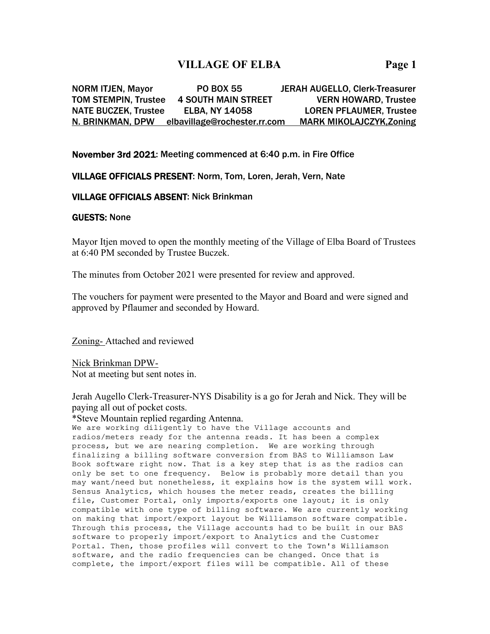# **VILLAGE OF ELBA Page 1**

NORM ITJEN, Mayor PO BOX 55 JERAH AUGELLO, Clerk-Treasurer TOM STEMPIN, Trustee 4 SOUTH MAIN STREET VERN HOWARD, Trustee NATE BUCZEK, Trustee ELBA, NY 14058 LOREN PFLAUMER, Trustee N. BRINKMAN, DPW elbavillage@rochester.rr.com MARK MIKOLAJCZYK,Zoning

## November 3rd 2021: Meeting commenced at 6:40 p.m. in Fire Office

## VILLAGE OFFICIALS PRESENT: Norm, Tom, Loren, Jerah, Vern, Nate

#### VILLAGE OFFICIALS ABSENT: Nick Brinkman

#### GUESTS: None

Mayor Itjen moved to open the monthly meeting of the Village of Elba Board of Trustees at 6:40 PM seconded by Trustee Buczek.

The minutes from October 2021 were presented for review and approved.

The vouchers for payment were presented to the Mayor and Board and were signed and approved by Pflaumer and seconded by Howard.

Zoning- Attached and reviewed

Nick Brinkman DPW-Not at meeting but sent notes in.

Jerah Augello Clerk-Treasurer-NYS Disability is a go for Jerah and Nick. They will be paying all out of pocket costs.

\*Steve Mountain replied regarding Antenna.

We are working diligently to have the Village accounts and radios/meters ready for the antenna reads. It has been a complex process, but we are nearing completion. We are working through finalizing a billing software conversion from BAS to Williamson Law Book software right now. That is a key step that is as the radios can only be set to one frequency. Below is probably more detail than you may want/need but nonetheless, it explains how is the system will work. Sensus Analytics, which houses the meter reads, creates the billing file, Customer Portal, only imports/exports one layout; it is only compatible with one type of billing software. We are currently working on making that import/export layout be Williamson software compatible. Through this process, the Village accounts had to be built in our BAS software to properly import/export to Analytics and the Customer Portal. Then, those profiles will convert to the Town's Williamson software, and the radio frequencies can be changed. Once that is complete, the import/export files will be compatible. All of these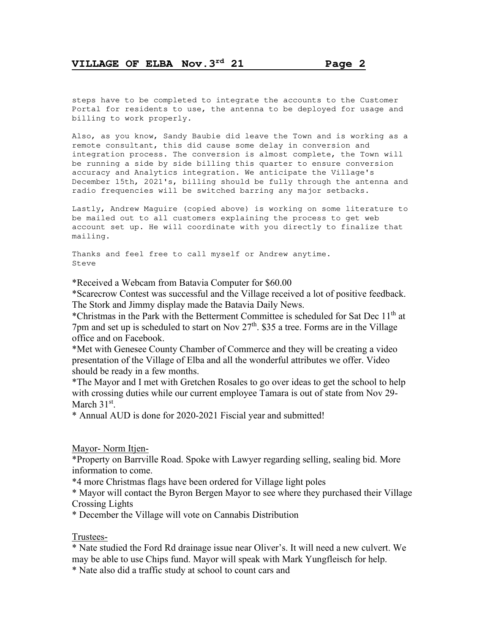steps have to be completed to integrate the accounts to the Customer Portal for residents to use, the antenna to be deployed for usage and billing to work properly.

Also, as you know, Sandy Baubie did leave the Town and is working as a remote consultant, this did cause some delay in conversion and integration process. The conversion is almost complete, the Town will be running a side by side billing this quarter to ensure conversion accuracy and Analytics integration. We anticipate the Village's December 15th, 2021's, billing should be fully through the antenna and radio frequencies will be switched barring any major setbacks.

Lastly, Andrew Maguire (copied above) is working on some literature to be mailed out to all customers explaining the process to get web account set up. He will coordinate with you directly to finalize that mailing.

Thanks and feel free to call myself or Andrew anytime.  $S<sup>+</sup>$   $\alpha$ 

\*Received a Webcam from Batavia Computer for \$60.00

\*Scarecrow Contest was successful and the Village received a lot of positive feedback. The Stork and Jimmy display made the Batavia Daily News.

\*Christmas in the Park with the Betterment Committee is scheduled for Sat Dec  $11<sup>th</sup>$  at 7pm and set up is scheduled to start on Nov  $27<sup>th</sup>$ . \$35 a tree. Forms are in the Village office and on Facebook.

\*Met with Genesee County Chamber of Commerce and they will be creating a video presentation of the Village of Elba and all the wonderful attributes we offer. Video should be ready in a few months.

\*The Mayor and I met with Gretchen Rosales to go over ideas to get the school to help with crossing duties while our current employee Tamara is out of state from Nov 29- March  $31<sup>st</sup>$ .

\* Annual AUD is done for 2020-2021 Fiscial year and submitted!

Mayor- Norm Itjen-

\*Property on Barrville Road. Spoke with Lawyer regarding selling, sealing bid. More information to come.

\*4 more Christmas flags have been ordered for Village light poles

\* Mayor will contact the Byron Bergen Mayor to see where they purchased their Village Crossing Lights

\* December the Village will vote on Cannabis Distribution

Trustees-

\* Nate studied the Ford Rd drainage issue near Oliver's. It will need a new culvert. We may be able to use Chips fund. Mayor will speak with Mark Yungfleisch for help.

\* Nate also did a traffic study at school to count cars and